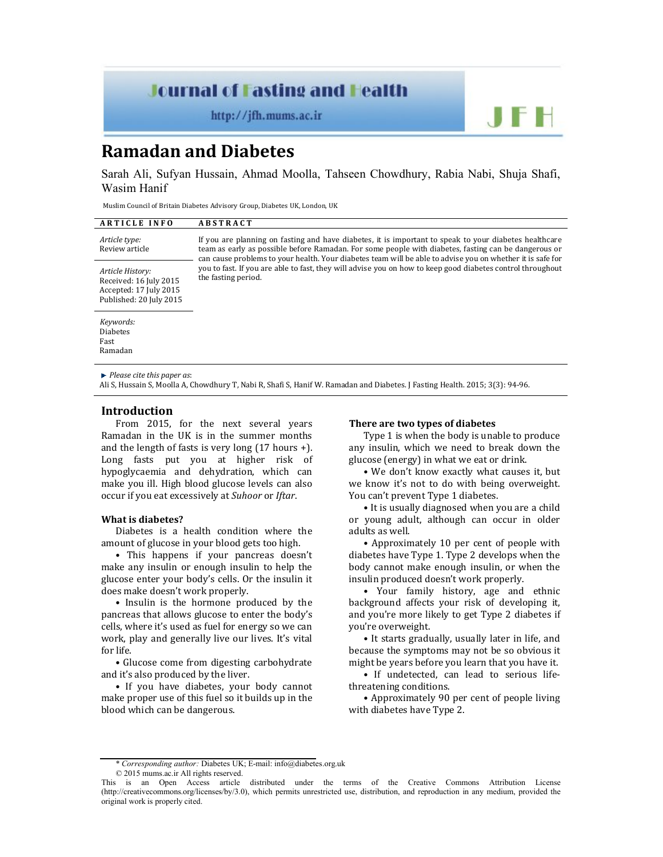# **Journal of Fasting and Health**

http://jfh.mums.ac.ir



# **Ramadan and Diabetes**

Sarah Ali, Sufyan Hussain, Ahmad Moolla, Tahseen Chowdhury, Rabia Nabi, Shuja Shafi, Wasim Hanif

Muslim Council of Britain Diabetes Advisory Group, Diabetes UK, London, UK

| <b>ARTICLE INFO</b>                                                                                                                                                                                                                                                                                                                                              | <b>ABSTRACT</b>                                                                                                                                                                                                                                                                                                                                                                                                                                                   |
|------------------------------------------------------------------------------------------------------------------------------------------------------------------------------------------------------------------------------------------------------------------------------------------------------------------------------------------------------------------|-------------------------------------------------------------------------------------------------------------------------------------------------------------------------------------------------------------------------------------------------------------------------------------------------------------------------------------------------------------------------------------------------------------------------------------------------------------------|
| Article type:<br>Review article                                                                                                                                                                                                                                                                                                                                  | If you are planning on fasting and have diabetes, it is important to speak to your diabetes healthcare<br>team as early as possible before Ramadan. For some people with diabetes, fasting can be dangerous or<br>can cause problems to your health. Your diabetes team will be able to advise you on whether it is safe for<br>you to fast. If you are able to fast, they will advise you on how to keep good diabetes control throughout<br>the fasting period. |
| Article History:<br>Received: 16 July 2015<br>Accepted: 17 July 2015<br>Published: 20 July 2015                                                                                                                                                                                                                                                                  |                                                                                                                                                                                                                                                                                                                                                                                                                                                                   |
| Keywords:<br><b>Diabetes</b><br>Fast<br>Ramadan                                                                                                                                                                                                                                                                                                                  |                                                                                                                                                                                                                                                                                                                                                                                                                                                                   |
| $\blacktriangleright$ Please cite this paper as:<br>$\mathbb{R}$ and $\mathbb{R}$ and $\mathbb{R}$ and $\mathbb{R}$ and $\mathbb{R}$ and $\mathbb{R}$ and $\mathbb{R}$ and $\mathbb{R}$ and $\mathbb{R}$ and $\mathbb{R}$ and $\mathbb{R}$ and $\mathbb{R}$ and $\mathbb{R}$ and $\mathbb{R}$ and $\mathbb{R}$ and $\mathbb{R}$ and $\mathbb{R}$ and<br>$\cdots$ |                                                                                                                                                                                                                                                                                                                                                                                                                                                                   |

Ali S, Hussain S, Moolla A, Chowdhury T, Nabi R, Shafi S, Hanif W. Ramadan and Diabetes. J Fasting Health. 2015; 3(3): 94-96.

## **Introduction**

From 2015, for the next several years Ramadan in the UK is in the summer months and the length of fasts is very long (17 hours +). Long fasts put you at higher risk of hypoglycaemia and dehydration, which can make you ill. High blood glucose levels can also occur if you eat excessively at *Suhoor* or *Iftar*.

### **What is diabetes?**

Diabetes is a health condition where the amount of glucose in your blood gets too high.

• This happens if your pancreas doesn't make any insulin or enough insulin to help the glucose enter your body's cells. Or the insulin it does make doesn't work properly.

• Insulin is the hormone produced by the pancreas that allows glucose to enter the body's cells, where it's used as fuel for energy so we can work, play and generally live our lives. It's vital for life.

• Glucose come from digesting carbohydrate and it's also produced by the liver.

• If you have diabetes, your body cannot make proper use of this fuel so it builds up in the blood which can be dangerous.

#### **There are two types of diabetes**

Type 1 is when the body is unable to produce any insulin, which we need to break down the glucose (energy) in what we eat or drink.

• We don't know exactly what causes it, but we know it's not to do with being overweight. You can't prevent Type 1 diabetes.

• It is usually diagnosed when you are a child or young adult, although can occur in older adults as well.

• Approximately 10 per cent of people with diabetes have Type 1. Type 2 develops when the body cannot make enough insulin, or when the insulin produced doesn't work properly.

• Your family history, age and ethnic background affects your risk of developing it, and you're more likely to get Type 2 diabetes if you're overweight.

• It starts gradually, usually later in life, and because the symptoms may not be so obvious it might be years before you learn that you have it.

• If undetected, can lead to serious lifethreatening conditions.

• Approximately 90 per cent of people living with diabetes have Type 2.

\* *Corresponding author:* Diabetes UK; E-mail: info@diabetes.org.uk © 2015 mums.ac.ir All rights reserved.

This is an Open Access article distributed under the terms of the Creative Commons Attribution License (http://creativecommons.org/licenses/by/3.0), which permits unrestricted use, distribution, and reproduction in any medium, provided the original work is properly cited.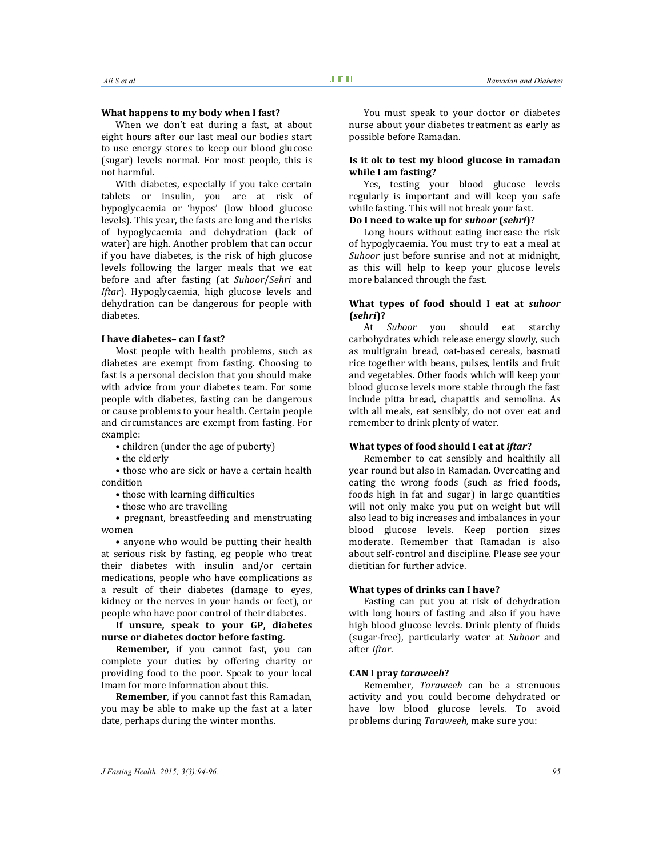#### **What happens to my body when I fast?**

When we don't eat during a fast, at about eight hours after our last meal our bodies start to use energy stores to keep our blood glucose (sugar) levels normal. For most people, this is not harmful.

With diabetes, especially if you take certain tablets or insulin, you are at risk of hypoglycaemia or 'hypos' (low blood glucose levels). This year, the fasts are long and the risks of hypoglycaemia and dehydration (lack of water) are high. Another problem that can occur if you have diabetes, is the risk of high glucose levels following the larger meals that we eat before and after fasting (at *Suhoor*/*Sehri* and *Iftar*). Hypoglycaemia, high glucose levels and dehydration can be dangerous for people with diabetes.

## **I have diabetes– can I fast?**

Most people with health problems, such as diabetes are exempt from fasting. Choosing to fast is a personal decision that you should make with advice from your diabetes team. For some people with diabetes, fasting can be dangerous or cause problems to your health. Certain people and circumstances are exempt from fasting. For example:

• children (under the age of puberty)

• the elderly

• those who are sick or have a certain health condition

- those with learning difficulties
- those who are travelling

• pregnant, breastfeeding and menstruating women

• anyone who would be putting their health at serious risk by fasting, eg people who treat their diabetes with insulin and/or certain medications, people who have complications as a result of their diabetes (damage to eyes, kidney or the nerves in your hands or feet), or people who have poor control of their diabetes.

## **If unsure, speak to your GP, diabetes nurse or diabetes doctor before fasting**.

**Remember**, if you cannot fast, you can complete your duties by offering charity or providing food to the poor. Speak to your local Imam for more information about this.

**Remember**, if you cannot fast this Ramadan, you may be able to make up the fast at a later date, perhaps during the winter months.

You must speak to your doctor or diabetes nurse about your diabetes treatment as early as possible before Ramadan.

## **Is it ok to test my blood glucose in ramadan while I am fasting?**

Yes, testing your blood glucose levels regularly is important and will keep you safe while fasting. This will not break your fast.

## **Do I need to wake up for** *suhoor* **(***sehri***)?**

Long hours without eating increase the risk of hypoglycaemia. You must try to eat a meal at *Suhoor* just before sunrise and not at midnight, as this will help to keep your glucose levels more balanced through the fast.

## **What types of food should I eat at** *suhoor*  **(***sehri***)?**

At *Suhoor* you should eat starchy carbohydrates which release energy slowly, such as multigrain bread, oat-based cereals, basmati rice together with beans, pulses, lentils and fruit and vegetables. Other foods which will keep your blood glucose levels more stable through the fast include pitta bread, chapattis and semolina. As with all meals, eat sensibly, do not over eat and remember to drink plenty of water.

#### **What types of food should I eat at** *iftar***?**

Remember to eat sensibly and healthily all year round but also in Ramadan. Overeating and eating the wrong foods (such as fried foods, foods high in fat and sugar) in large quantities will not only make you put on weight but will also lead to big increases and imbalances in your blood glucose levels. Keep portion sizes moderate. Remember that Ramadan is also about self-control and discipline. Please see your dietitian for further advice.

#### **What types of drinks can I have?**

Fasting can put you at risk of dehydration with long hours of fasting and also if you have high blood glucose levels. Drink plenty of fluids (sugar-free), particularly water at *Suhoor* and after *Iftar*.

#### **CAN I pray** *taraweeh***?**

Remember, *Taraweeh* can be a strenuous activity and you could become dehydrated or have low blood glucose levels. To avoid problems during *Taraweeh*, make sure you: